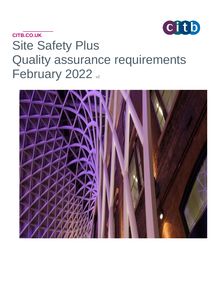

# **CITB.CO.UK** Site Safety Plus Quality assurance requirements February 2022 v2

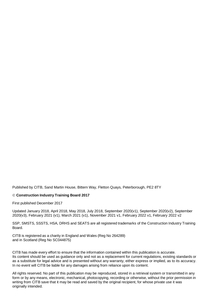Published by CITB, Sand Martin House, Bittern Way, Fletton Quays, Peterborough, PE2 8TY

#### © **Construction Industry Training Board 2017**

First published December 2017

Updated January 2018, April 2018, May 2018, July 2018, September 2020(v1), September 2020(v2), September 2020(v3), February 2021 (v1), March 2021 (v1), November 2021 v1, February 2022 v1, February 2022 v2

SSP, SMSTS, SSSTS, HSA, DRHS and SEATS are all registered trademarks of the Construction Industry Training Board.

CITB is registered as a charity in England and Wales (Reg No 264289) and in Scotland (Reg No SC044875)

CITB has made every effort to ensure that the information contained within this publication is accurate. Its content should be used as guidance only and not as a replacement for current regulations, existing standards or as a substitute for legal advice and is presented without any warranty, either express or implied, as to its accuracy. In no event will CITB be liable for any damages arising from reliance upon its content.

All rights reserved. No part of this publication may be reproduced, stored in a retrieval system or transmitted in any form or by any means, electronic, mechanical, photocopying, recording or otherwise, without the prior permission in writing from CITB save that it may be read and saved by the original recipient, for whose private use it was originally intended.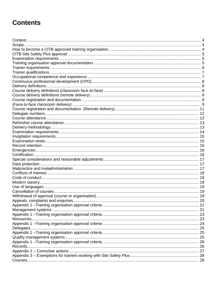# **Contents**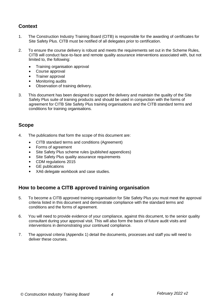## <span id="page-3-0"></span>**Context**

- 1. The Construction Industry Training Board (CITB) is responsible for the awarding of certificates for Site Safety Plus. CITB must be notified of all delegates prior to certification.
- 2. To ensure the course delivery is robust and meets the requirements set out in the Scheme Rules, CITB will conduct face-to-face and remote quality assurance interventions associated with, but not limited to, the following:
	- Training organisation approval
	- Course approval
	- Trainer approval
	- Monitoring audits
	- Observation of training delivery.
- 3. This document has been designed to support the delivery and maintain the quality of the Site Safety Plus suite of training products and should be used in conjunction with the forms of agreement for CITB Site Safety Plus training organisations and the CITB standard terms and conditions for training organisations.

#### <span id="page-3-1"></span>**Scope**

- 4. The publications that form the scope of this document are:
	- CITB standard terms and conditions (Agreement)
	- Forms of agreement
	- Site Safety Plus scheme rules (published appendices)
	- Site Safety Plus quality assurance requirements
	- CDM regulations 2015
	- **GE** publications
	- XA6 delegate workbook and case studies.

#### <span id="page-3-2"></span>**How to become a CITB approved training organisation**

- 5. To become a CITB approved training organisation for Site Safety Plus you must meet the approval criteria listed in this document and demonstrate compliance with the standard terms and conditions and the forms of agreement.
- 6. You will need to provide evidence of your compliance, against this document, to the senior quality consultant during your approval visit. This will also form the basis of future audit visits and interventions in demonstrating your continued compliance.
- 7. The approval criteria (Appendix 1) detail the documents, processes and staff you will need to deliver these courses.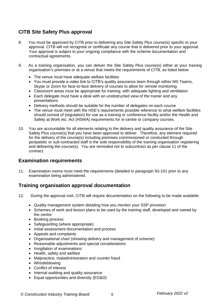## <span id="page-4-0"></span>**CITB Site Safety Plus approval**

- 8. You must be approved by CITB prior to delivering any Site Safety Plus course(s) specific to your approval. CITB will not recognise or certificate any course that is delivered prior to your approval. Your approval is subject to your ongoing compliance with the scheme documentation and contractual agreements.
- 9. As a training organisation, you can deliver the Site Safety Plus course(s) either at your training organisation's premises or at a venue that meets the requirements of CITB, as listed below:
	- The venue must have adequate welfare facilities
	- You must provide a video link to CITB's quality assurance team through either MS Teams, Skype or Zoom for face-to-face delivery of courses to allow for remote monitoring
	- Classroom areas must be appropriate for training, with adequate lighting and ventilation
	- Each delegate must have a desk with an unobstructed view of the trainer and any presentations
	- Delivery methods should be suitable for the number of delegates on each course
	- The venue must meet with the HSE's requirements possible reference to what welfare facilities should consist of (regulation) for use as a training or conference facility and/or the Health and Safety at Work etc. Act (HSWA) requirements for in-centre or company courses.
- 10. You are accountable for all elements relating to the delivery and quality assurance of the Site Safety Plus course(s) that you have been approved to deliver. Therefore, any element required for the delivery of the course(s) including premises commissioned or conducted through peripatetic or sub-contracted staff is the sole responsibility of the training organisation registering and delivering the course(s). You are reminded not to subcontract as per clause 11 of the contract.

#### <span id="page-4-1"></span>**Examination requirements**

11. Examination rooms must meet the requirements (detailed in paragraph 93-101 prior to any examination being administered.

#### <span id="page-4-2"></span>**Training organisation approval documentation**

- 12. During the approval visit, CITB will require documentation on the following to be made available:
	- Quality management system detailing how you monitor your SSP provision
	- Schemes of work and lesson plans to be used by the training staff, developed and owned by the centre
	- Booking process
	- Safeguarding (where appropriate)
	- Initial assessment documentation and process
	- Appeals and complaints
	- Organisational chart (showing delivery and management of scheme)
	- Reasonable adjustments and special considerations
	- Invigilation of examinations
	- Health, safety and welfare
	- Malpractice, maladministration and counter fraud
	- Whistleblowing
	- Conflict of interest
	- Internal auditing and quality assurance
	- Equal opportunities and diversity (EO&D)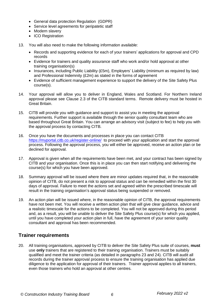- General data protection Regulation (GDPR)
- Service level agreements for peripatetic staff
- Modern slavery
- ICO Registration
- 13. You will also need to make the following information available:
	- Records and supporting evidence for each of your trainers' applications for approval and CPD records
	- Evidence for trainers and quality assurance staff who work and/or hold approval at other training organisation(s)
	- Insurances, including Public Liability (£5m), Employers' Liability (minimum as required by law) and Professional Indemnity (£2m) as stated in the forms of agreement
	- Evidence of sufficient management experience to support the delivery of the Site Safety Plus course(s).
- 14. Your approval will allow you to deliver in England, Wales and Scotland. For Northern Ireland approval please see Clause 2.3 of the CITB standard terms. Remote delivery must be hosted in Great Britain.
- 15. CITB will provide you with guidance and support to assist you in meeting the approval requirements. Further support is available through the senior quality consultant team who are based throughout Great Britain. You can arrange an advisory visit (subject to fee) to help you with the approval process by contacting CITB.
- 16. Once you have the documents and processes in place you can contact CITB <https://myportal.citb.co.uk/register-online/> to proceed with your application and start the approval process. Following the approval process, you will either be approved, receive an action plan or be declined for approval.
- 17. Approval is given when all the requirements have been met, and your contract has been signed by CITB and your organisation. Once this is in place you can then start notifying and delivering the course(s) for which you have been approved.
- 18. Summary approval will be issued where there are minor updates required that, in the reasonable opinion of CITB, do not present a risk to approval status and can be remedied within the first 30 days of approval. Failure to meet the actions set and agreed within the prescribed timescale will result in the training organisation's approval status being suspended or removed.
- 19. An action plan will be issued where, in the reasonable opinion of CITB, the approval requirements have not been met. You will receive a written action plan that will give clear guidance, advice and a realistic timescale for the actions to be completed. You will not be approved during this period and, as a result, you will be unable to deliver the Site Safety Plus course(s) for which you applied, until you have completed your action plan in full, have the agreement of your senior quality consultant and approval has been recommended.

## <span id="page-5-0"></span>**Trainer requirements**

20. All training organisations, approved by CITB to deliver the Site Safety Plus suite of courses, **must**  use **only** trainers that are registered to their training organisation. Trainers must be suitably qualified and meet the trainer criteria (as detailed in paragraphs 23 and 24). CITB will audit all records during the trainer approval process to ensure the training organisation has applied due diligence to the application for approval of their trainers. Trainer approval applies to all trainers, even those trainers who hold an approval at other centres.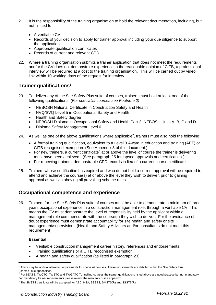- 21. It is the responsibility of the training organisation to hold the relevant documentation, including, but not limited to:
	- A verifiable CV
	- Records of your decision to apply for trainer approval including your due diligence to support the application
	- Appropriate qualification certificates
	- Records of current and relevant CPD.
- 22. Where a training organisation submits a trainer application that does not meet the requirements and/or the CV does not demonstrate experience in the reasonable opinion of CITB, a professional interview will be required at a cost to the training organisation. This will be carried out by video link within 10 working days of the request for interview.

#### <span id="page-6-0"></span>**Trainer qualifications 1**

- 23. To deliver any of the Site Safety Plus suite of courses, trainers must hold at least one of the following qualifications: (*For specialist courses see Footnote 2)*
	- NEBOSH National Certificate in Construction Safety and Health
	- NVQ/SVQ Level 5 in Occupational Safety and Health
	- Health and Safety degree
	- NEBOSH Diploma in Occupational Safety and Health Part 2, NEBOSH Units A, B, C and D
	- Diploma Safety Management Level 6.
- 24. As well as one of the above qualifications where applicable<sup>2</sup>, trainers must also hold the following:
	- A formal training qualification, equivalent to a Level 3 Award in education and training (AET) or CITB recognised exemption. (See Appendix 3 of this document.)
	- For new trainers, a current certificate<sup>3</sup> at or above the level of course the trainer is delivering must have been achieved. (See paragraph 25 for lapsed approvals and certification.)
	- For renewing trainers, demonstrable CPD records in lieu of a current course certificate.
- 25. Trainers whose certification has expired and who do not hold a current approval will be required to attend and achieve the course(s) at or above the level they wish to deliver, prior to gaining approval as well as obeying all prevailing scheme rules.

#### <span id="page-6-1"></span>**Occupational competence and experience**

26. Trainers for the Site Safety Plus suite of courses must be able to demonstrate a minimum of three years occupational experience in a construction management role, through a verifiable CV. This means the CV must demonstrate the level of responsibility held by the applicant within a management role commensurate with the course(s) they wish to deliver. For the avoidance of doubt experience must demonstrate accountability for site health and safety or site management/supervision. (Health and Safety Advisors and/or consultants do not meet this requirement).

#### **Essential**

- Verifiable construction management career history, references and endorsements.
- Training qualifications or a CITB recognised exemption.
- A health and safety qualification (as listed in paragraph 23).

 $^{\rm 1}$  There may be additional trainer requirements for specialist courses. These requirements are detailed within the Site Safety Plus Scheme Rule appendices.<br><sup>2</sup> Eer SEATS TWCTC TV

For SEATS, TWCTC, TWSTC and TWGATC Tunnelling courses the trainer qualifications listed above are good practice but not mandatory. For mandatory trainer requirements please review the relevant course appendix.

 $3$  The SMSTS certificate will be accepted for ABC, HSA, SSSTS, SMSTS(R) and SSSTS(R)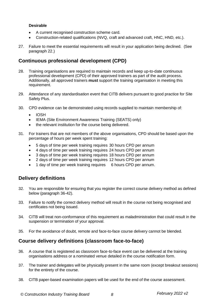#### **Desirable**

- A current recognised construction scheme card.
- Construction-related qualifications (NVQ, craft and advanced craft, HNC, HND, etc.).
- 27. Failure to meet the essential requirements will result in your application being declined. (See paragraph 22.)

#### <span id="page-7-0"></span>**Continuous professional development (CPD)**

- 28. Training organisations are required to maintain records and keep up-to-date continuous professional development (CPD) of their approved trainers as part of the audit process. Additionally, all approved trainers **must** support the training organisation in meeting this requirement.
- 29. Attendance of any standardisation event that CITB delivers pursuant to good practice for Site Safety Plus.
- 30. CPD evidence can be demonstrated using records supplied to maintain membership of:
	- IOSH
	- IEMA (Site Environment Awareness Training (SEATS) only)
	- the relevant institution for the course being delivered.
- 31. For trainers that are not members of the above organisations, CPD should be based upon the percentage of hours per week spent training:
	- 5 days of time per week training requires 30 hours CPD per annum
	- 4 days of time per week training requires 24 hours CPD per annum
	- 3 days of time per week training requires 18 hours CPD per annum
	- 2 days of time per week training requires 12 hours CPD per annum
	- 1 day of time per week training requires 6 hours CPD per annum.

#### <span id="page-7-1"></span>**Delivery definitions**

- 32. You are responsible for ensuring that you register the correct course delivery method as defined below (paragraph 36-42).
- 33. Failure to notify the correct delivery method will result in the course not being recognised and certificates not being issued.
- 34. CITB will treat non-conformance of this requirement as maladministration that could result in the suspension or termination of your approval.
- <span id="page-7-2"></span>35. For the avoidance of doubt, remote and face-to-face course delivery cannot be blended.

#### **Course delivery definitions (classroom face-to-face)**

- 36. A course that is registered as classroom face-to-face event can be delivered at the training organisations address or a nominated venue detailed in the course notification form.
- 37. The trainer and delegates will be physically present in the same room (except breakout sessions) for the entirety of the course.
- 38. CITB paper-based examination papers will be used for the end of the course assessment.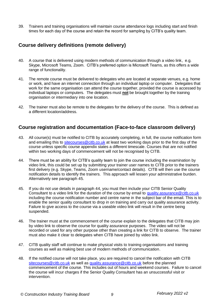<span id="page-8-0"></span>39. Trainers and training organisations will maintain course attendance logs including start and finish times for each day of the course and retain the record for sampling by CITB's quality team.

#### **Course delivery definitions (remote delivery)**

- 40. A course that is delivered using modern methods of communication through a video link, e.g. Skype, Microsoft Teams, Zoom. CITB's preferred option is Microsoft Teams, as this offers a wide range of functionality.
- 41. The remote course must be delivered to delegates who are located at separate venues, e.g. home or work, and have an internet connection through an individual laptop or computer. Delegates that work for the same organisation can attend the course together, provided the course is accessed by individual laptops or computers. The delegates must **not** be brought together by the training organisation or intermediary into one location.
- 42. The trainer must also be remote to the delegates for the delivery of the course. This is defined as a different location/address.

#### <span id="page-8-2"></span><span id="page-8-1"></span>**Course registration and documentation (Face-to-face classroom delivery)**

- 43. All course(s) must be notified to CITB by accurately completing, in full, the course notification form and emailing this to [sitecourses@citb.co.uk](mailto:sitecourses@citb.co.uk) at least two working days prior to the first day of the course unless specific course appendix states a different timescale. Courses that are not notified within two working days of commencement will not be recognised by CITB.
- 44. There must be an ability for CITB's quality team to join the course including the examination by video link, this could be set up by submitting your trainer user names to CITB prior to the trainers first delivery (e.g. Skype, Teams, Zoom username/contact details). CITB will then use the course notification details to identify the trainers. This approach will lessen your administrative burden. Alternatively see paragraph 45.
- 45. If you do not use details in paragraph 44, you must then include your CITB Senior Quality Consultant to a video link for the duration of the course by email to [quality.assurance@citb.co.uk](mailto:quality.assurance@citb.co.uk) including the course notification number and centre name in the subject bar of the email. This is to enable the senior quality consultant to drop in on training and carry out quality assurance activity. Failure to give access to the course via a useable video link will result in the centre being suspended.
- 46. The trainer must at the commencement of the course explain to the delegates that CITB may join by video link to observe the course for quality assurance purposes. The video will not be recorded or used for any other purpose other than creating a link for CITB to observe. The trainer must also make it clear to delegates when CITB have joined by video link.
- 47. CITB quality staff will continue to make physical visits to training organisations and training courses as well as making best use of modern methods of communication.
- 48. If the notified course will not take place, you are required to cancel the notification with CITB [sitecourses@citb.co.uk](mailto:sitecourses@citb.co.uk) as well as [quality.assurance@citb.co.uk](mailto:quality.assurance@citb.co.uk) before the planned commencement of the course. This includes out of hours and weekend courses. Failure to cancel the course will incur charges if the Senior Quality Consultant has an unsuccessful visit or intervention.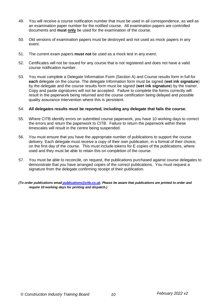- 49. You will receive a course notification number that must be used in all correspondence, as well as an examination paper number for the notified course. All examination papers are controlled documents and **must only** be used for the examination of the course.
- 50. Old versions of examination papers must be destroyed and not used as mock papers in any event.
- 51. The current exam papers **must not** be used as a mock test in any event.
- 52. Certificates will not be issued for any course that is not registered and does not have a valid course notification number.
- 53. You must complete a Delegate Information Form (Section A) and Course results form in full for **each** delegate on the course. The delegate Information form must be signed (**wet ink signature**) by the delegate and the course results form must be signed (**wet ink signature**) by the trainer. Copy and paste signatures will not be accepted. Failure to complete the forms correctly will result in the paperwork being returned and the course certification being delayed and possible quality assurance intervention where this is persistent.

#### 54. **All delegates results must be reported, including any delegate that fails the course.**

- 55. Where CITB identify errors on submitted course paperwork, you have 10 working days to correct the errors and return the paperwork to CITB. Failure to return the paperwork within these timescales will result in the centre being suspended.
- 56. You must ensure that you have the appropriate number of publications to support the course delivery. Each delegate must receive a copy of their own publication, in a format of their choice, on the first day of the course. This must include tokens for E copies of the publications, where used and they must be able to retain this on completion of the course.
- 57. You must be able to reconcile, on request, the publications purchased against course delegates to demonstrate that you have arranged copies of the correct publications. You must request a signature from the delegate confirming receipt of their publication.
- *(To order publications email [publications@citb.co.uk.](mailto:publications@citb.co.uk) Please be aware that publications are printed to order and require 10 working days for printing and dispatch.)*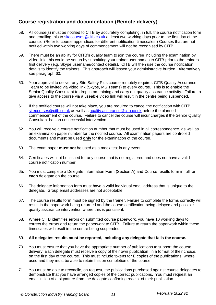### <span id="page-10-0"></span>**Course registration and documentation (Remote delivery)**

- 58. All course(s) must be notified to CITB by accurately completing, in full, the course notification form and emailing this to [sitecourses@citb.co.uk](mailto:sitecourses@citb.co.uk) at least two working days prior to the first day of the course. (Refer to course appendices for different notification timescales.) Courses that are not notified within two working days of commencement will not be recognised by CITB.
- 59. There must be an ability for CITB's quality team to join the course including the examination by video link, this could be set up by submitting your trainer user names to CITB prior to the trainers first delivery (e.g. Skype username/contact details). CITB will then use the course notification details to identify the trainers. This approach will lessen your administrative burden. Alternatively see paragraph 60.
- 60. Your approval to deliver any Site Safety Plus course remotely requires CITB Quality Assurance Team to be invited via video link (Skype, MS Teams) to every course. This is to enable the Senior Quality Consultant to drop in on training and carry out quality assurance activity. Failure to give access to the course via a useable video link will result in the centre being suspended.
- 61. If the notified course will not take place, you are required to cancel the notification with CITB [sitecourses@citb.co.uk](mailto:sitecourses@citb.co.uk) as well as [quality.assurance@citb.co.uk](mailto:quality.assurance@citb.co.uk) before the planned commencement of the course. Failure to cancel the course will incur charges if the Senior Quality Consultant has an unsuccessful intervention.
- 62. You will receive a course notification number that must be used in all correspondence, as well as an examination paper number for the notified course. All examination papers are controlled documents and **must** be used **only** for the examination of the course.
- 63. The exam paper **must not** be used as a mock test in any event.
- 64. Certificates will not be issued for any course that is not registered and does not have a valid course notification number.
- 65. You must complete a Delegate Information Form (Section A) and Course results form in full for **each** delegate on the course.
- 66. The delegate information form must have a valid individual email address that is unique to the delegate. Group email addresses are not acceptable.
- 67. The course results form must be signed by the trainer. Failure to complete the forms correctly will result in the paperwork being returned and the course certification being delayed and possible quality assurance intervention where this is persistent.
- 68. Where CITB identifies errors on submitted course paperwork, you have 10 working days to correct the errors and return the paperwork to CITB. Failure to return the paperwork within these timescales will result in the centre being suspended.

#### 69. **All delegates results must be reported, including any delegate that fails the course.**

- 70. You must ensure that you have the appropriate number of publications to support the course delivery. Each delegate must receive a copy of their own publication, in a format of their choice, on the first day of the course. This must include tokens for E copies of the publications, where used and they must be able to retain this on completion of the course.
- 71. You must be able to reconcile, on request, the publications purchased against course delegates to demonstrate that you have arranged copies of the correct publications. You must request an email in lieu of a signature from the delegate confirming receipt of their publication.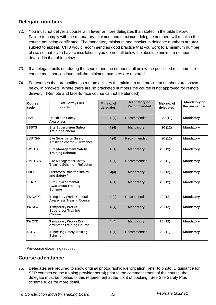#### <span id="page-11-0"></span>**Delegate numbers**

- 72. You must not deliver a course with fewer or more delegates than stated in the table below. Failure to comply with the mandatory minimum and maximum delegate numbers will result in the course not being certificated. The mandatory minimum and maximum delegate numbers are **not** subject to appeal. CITB would recommend as good practice that you work to a minimum number of six, so that if you have cancellations, you do not fall below the absolute minimum number detailed in the table below.
- 73. If a delegate pulls out during the course and the numbers fall below the published minimum the course must not continue until the minimum numbers are restored.
- 74. For courses that are notified as remote delivery the minimum and maximum numbers are shown below in brackets. Where there are no bracketed numbers the course is not approved for remote delivery. (Remote and face-to-face course cannot be blended).

| <b>Course</b><br>code | <b>Site Safety Plus</b><br>course                                       | Min no. of<br>delegates | <b>Mandatory or</b><br><b>Recommended</b> | Max no. of<br>delegates | <b>Mandatory or</b><br>Recommended |
|-----------------------|-------------------------------------------------------------------------|-------------------------|-------------------------------------------|-------------------------|------------------------------------|
| <b>HSA</b>            | <b>Health and Safety</b><br>Awareness                                   | 4(4)                    | Recommended                               | 20(12)                  | <b>Mandatory</b>                   |
| <b>SSSTS</b>          | <b>Site Supervision Safety</b><br><b>Training Scheme</b>                | 4(4)                    | <b>Mandatory</b>                          | 20 (12)                 | <b>Mandatory</b>                   |
| <b>SSSTS-R</b>        | <b>Site Supervision Safety</b><br>Training Scheme - Refresher           | 4(4)                    | Recommended                               | 20(12)                  | <b>Mandatory</b>                   |
| <b>SMSTS</b>          | <b>Site Management Safety</b><br><b>Training Scheme</b>                 | 4(4)                    | <b>Mandatory</b>                          | 20 (12)                 | <b>Mandatory</b>                   |
| SMSTS-R               | Site Management Safety<br>Training Scheme - Refresher                   | 4(4)                    | Recommended                               | 20(12)                  | <b>Mandatory</b>                   |
| <b>DRHS</b>           | Director's Role for Health<br>and Safety *                              | 4(4)                    | <b>Mandatory</b>                          | 12 (12)                 | <b>Mandatory</b>                   |
| <b>SEATS</b>          | <b>Site Environmental</b><br><b>Awareness Training</b><br><b>Scheme</b> | 4(4)                    | <b>Mandatory</b>                          | 20 (12)                 | <b>Mandatory</b>                   |
| <b>TWGATC</b>         | Temporary Works General<br><b>Awareness Training Course</b>             | 4(4)                    | Recommended                               | 20(12)                  | <b>Mandatory</b>                   |
| <b>TWSTC</b>          | <b>Temporary Works</b><br><b>Supervisor Training</b><br>Course          | 4(4)                    | <b>Mandatory</b>                          | 20 (12)                 | <b>Mandatory</b>                   |
| <b>TWCTC</b>          | <b>Temporary Works Co-</b><br>ordinator Training Course                 | 4(4)                    | <b>Mandatory</b>                          | 20 (12)                 | <b>Mandatory</b>                   |
| <b>TSTS</b>           | <b>Tunnelling Safety Training</b><br>Scheme                             | 4(4)                    | Recommended                               | 20(12)                  | <b>Mandatory</b>                   |

\*Pre-course eLearning required

#### <span id="page-11-1"></span>**Course attendance**

75. Delegates are required to show original photographic identification (refer to photo ID guidance for SSP courses on the training provider portal) prior to the commencement of the course, the delegate must be notified of this requirement at the point of booking. See Site Safety Plus scheme rules for more detail.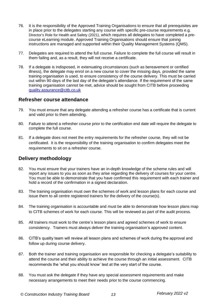- 76. It is the responsibility of the Approved Training Organisations to ensure that all prerequisites are in place prior to the delegates starting any course with specific pre-course requirements e.g. Director's Role for Health and Safety (2021), which requires all delegates to have completed a precourse eLearning module. Approved Training Organisations should ensure that joining instructions are managed and supported within their Quality Management Systems (QMS).
- 77. Delegates are required to attend the full course. Failure to complete the full course will result in them failing and, as a result, they will not receive a certificate.
- 78. If a delegate is indisposed, in extenuating circumstances (such as bereavement or certified illness), the delegate may enrol on a new course to cover the missing days, provided the same training organisation is used, to ensure consistency of the course delivery. This must be carried out within 90 days of the last day of the delegate's attendance. If the requirement of the same training organisation cannot be met, advice should be sought from CITB before proceeding [quality.assurance@citb.co.uk](mailto:quality.assurance@citb.co.uk)

#### <span id="page-12-0"></span>**Refresher course attendance**

- 79. You must ensure that any delegate attending a refresher course has a certificate that is current and valid prior to them attending.
- 80. Failure to attend a refresher course prior to the certification end date will require the delegate to complete the full course.
- 81. If a delegate does not meet the entry requirements for the refresher course, they will not be certificated. It is the responsibility of the training organisation to confirm delegates meet the requirements to sit on a refresher course.

#### <span id="page-12-1"></span>**Delivery methodology**

- 82. You must ensure that your trainers have an in-depth knowledge of the scheme rules and will report any issues to you as soon as they arise regarding the delivery of courses for your centre. You must be able to demonstrate that you have confirmed this requirement with each trainer and hold a record of the confirmation in a signed declaration.
- 83. The training organisation must own the schemes of work and lesson plans for each course and issue them to all centre registered trainers for the delivery of the course(s).
- 84. The training organisation is accountable and must be able to demonstrate how lesson plans map to CITB schemes of work for each course. This will be reviewed as part of the audit process.
- 85. All trainers must work to the centre's lesson plans and agreed schemes of work to ensure consistency. Trainers must always deliver the training organisation's approved content.
- 86. CITB's quality team will review all lesson plans and schemes of work during the approval and follow up during course delivery.
- 87. Both the trainer and training organisation are responsible for checking a delegate's suitability to attend the course and their ability to achieve the course through an initial assessment. CITB recommends the 'what you should know' test at the very start of the course.
- 88. You must ask the delegate if they have any special assessment requirements and make necessary arrangements to meet their needs prior to the course commencing.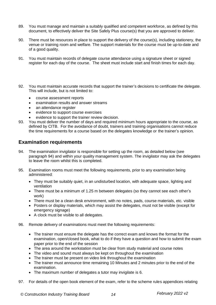- 89. You must manage and maintain a suitably qualified and competent workforce, as defined by this document, to effectively deliver the Site Safely Plus course(s) that you are approved to deliver.
- 90. There must be resources in place to support the delivery of the course(s), including stationery, the venue or training room and welfare. The support materials for the course must be up-to-date and of a good quality.
- 91. You must maintain records of delegate course attendance using a signature sheet or signed register for each day of the course. The sheet must include start and finish times for each day.
- 92. You must maintain accurate records that support the trainer's decisions to certificate the delegate. This will include, but is not limited to:
	- course assessment reports
	- examination results and answer streams
	- an attendance register
	- evidence to support course exercises
	- evidence to support the trainer review decision.
- 93. You must deliver the number of days and required minimum hours appropriate to the course, as defined by CITB. For the avoidance of doubt, trainers and training organisations cannot reduce the time requirements for a course based on the delegates knowledge or the trainer's opinion.

#### <span id="page-13-0"></span>**Examination requirements**

- 94. The examination invigilator is responsible for setting up the room, as detailed below (see paragraph 94) and within your quality management system. The invigilator may ask the delegates to leave the room whilst this is completed.
- 95. Examination rooms must meet the following requirements, prior to any examination being administered:
	- They must be suitably quiet, in an undisturbed location, with adequate space, lighting and ventilation
	- There must be a minimum of 1.25 m between delegates (so they cannot see each other's work)
	- There must be a clean desk environment, with no notes, pads, course materials, etc. visible
	- Posters or display materials, which may assist the delegates, must not be visible (except for emergency signage)
	- A clock must be visible to all delegates.
- 96. Remote delivery of examinations must meet the following requirements:
	- The trainer must ensure the delegate has the correct exam and knows the format for the examination, open/closed book, what to do if they have a question and how to submit the exam paper prior to the end of the session
	- The area around the workstation must be clear from study material and course notes
	- The video and sound must always be kept on throughout the examination
	- The trainer must be present on video link throughout the examination
	- The trainer must announce time remaining 10 Minutes and 2 minutes prior to the end of the examination.
	- The maximum number of delegates a tutor may invigilate is 6.
- 97. For details of the open book element of the exam, refer to the scheme rules appendices relating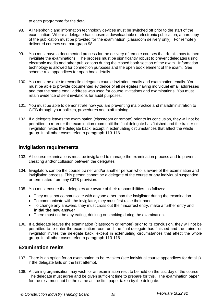to each programme for the detail.

- 98. All telephonic and information technology devices must be switched off prior to the start of the examination. Where a delegate has chosen a downloadable or electronic publication, a hardcopy of the publication must be provided for the examination (classroom delivery only). For remotely delivered courses see paragraph 98.
- 99. You must have a documented process for the delivery of remote courses that details how trainers invigilate the examinations. The process must be significantly robust to prevent delegates using electronic media and other publications during the closed book section of the exam. Information technology is allowed for connection purposes and the open book element of the exam. See scheme rule appendices for open book details.
- 100. You must be able to reconcile delegates course invitation emails and examination emails. You must be able to provide documented evidence of all delegates having individual email addresses and that the same email address was used for course invitations and examinations. You must retain evidence of sent invitations for audit purposes.
- 101. You must be able to demonstrate how you are preventing malpractice and maladministration to CITB through your policies, procedures and staff training.
- 102. If a delegate leaves the examination (classroom or remote) prior to its conclusion, they will not be permitted to re-enter the examination room until the final delegate has finished and the trainer or invigilator invites the delegate back. except in extenuating circumstances that affect the whole group. In all other cases refer to paragraph 113-116.

#### <span id="page-14-0"></span>**Invigilation requirements**

- 103. All course examinations must be invigilated to manage the examination process and to prevent cheating and/or collusion between the delegates.
- 104. Invigilators can be the course trainer and/or another person who is aware of the examination and invigilation process. This person cannot be a delegate of the course or any individual suspended or terminated from any CITB provision.
- 105. You must ensure that delegates are aware of their responsibilities, as follows:
	- They must not communicate with anyone other than the invigilator during the examination
	- To communicate with the invigilator, they must first raise their hand
	- To change any answers, they must cross out their incorrect entry, make a further entry and **initial the new answer**
	- There must not be any eating, drinking or smoking during the examination.
- 106. If a delegate leaves the examination (classroom or remote) prior to its conclusion, they will not be permitted to re-enter the examination room until the final delegate has finished and the trainer or invigilator invites the delegate back, except in extenuating circumstances that affect the whole group. In all other cases refer to paragraph 113-116

#### <span id="page-14-1"></span>**Examination resits**

- 107. There is an option for an examination to be re-taken (see individual course appendices for details) if the delegate fails on the first attempt.
- 108. A training organisation may wish for an examination resit to be held on the last day of the course. The delegate must agree and be given sufficient time to prepare for this. The examination paper for the resit must not be the same as the first paper taken by the delegate.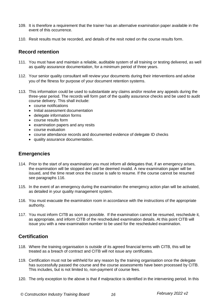- 109. It is therefore a requirement that the trainer has an alternative examination paper available in the event of this occurrence.
- 110. Resit results must be recorded, and details of the resit noted on the course results form.

#### <span id="page-15-0"></span>**Record retention**

- 111. You must have and maintain a reliable, auditable system of all training or testing delivered, as well as quality assurance documentation, for a minimum period of three years.
- 112. Your senior quality consultant will review your documents during their interventions and advise you of the fitness for purpose of your document retention systems.
- 113. This information could be used to substantiate any claims and/or resolve any appeals during the three-year period. The records will form part of the quality assurance checks and be used to audit course delivery. This shall include:
	- course notifications
	- Initial assessment documentation
	- delegate information forms
	- course results form
	- examination papers and any resits
	- course evaluation
	- course attendance records and documented evidence of delegate ID checks
	- quality assurance documentation.

#### <span id="page-15-1"></span>**Emergencies**

- 114. Prior to the start of any examination you must inform all delegates that, if an emergency arises, the examination will be stopped and will be deemed invalid. A new examination paper will be issued, and the time reset once the course is safe to resume. If the course cannot be resumed see paragraphs 116.
- 115. In the event of an emergency during the examination the emergency action plan will be activated, as detailed in your quality management system.
- 116. You must evacuate the examination room in accordance with the instructions of the appropriate authority.
- 117. You must inform CITB as soon as possible. If the examination cannot be resumed, reschedule it, as appropriate, and inform CITB of the rescheduled examination details. At this point CITB will issue you with a new examination number to be used for the rescheduled examination.

## <span id="page-15-2"></span>**Certification**

- 118. Where the training organisation is outside of its agreed financial terms with CITB, this will be treated as a breach of contract and CITB will not issue any certificates.
- 119. Certification must not be withheld for any reason by the training organisation once the delegate has successfully passed the course and the course assessments have been processed by CITB. This includes, but is not limited to, non-payment of course fees.
- 120. The only exception to the above is that if malpractice is identified in the intervening period. In this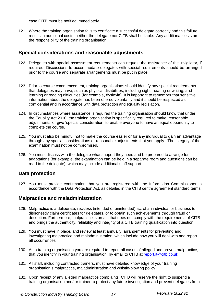case CITB must be notified immediately.

121. Where the training organisation fails to certificate a successful delegate correctly and this failure results in additional costs, neither the delegate nor CITB shall be liable. Any additional costs are the responsibility of the training organisation.

#### <span id="page-16-0"></span>**Special considerations and reasonable adjustments**

- 122. Delegates with special assessment requirements can request the assistance of the invigilator, if required. Discussions to accommodate delegates with special requirements should be arranged prior to the course and separate arrangements must be put in place.
- 123. Prior to course commencement, training organisations should identify any special requirements that delegates may have, such as physical disabilities, including sight, hearing or writing, and learning or reading difficulties (for example, dyslexia). It is important to remember that sensitive information about the delegate has been offered voluntarily and it should be respected as confidential and in accordance with data protection and equality legislation.
- 124. In circumstances where assistance is required the training organisation should know that under the Equality Act 2010, the training organisation is specifically required to make 'reasonable adjustments' or give 'special consideration' to enable everyone to have an equal opportunity to complete the course.
- 125. You must also be mindful not to make the course easier or for any individual to gain an advantage through any special considerations or reasonable adjustments that you apply. The integrity of the examination must not be compromised.
- 126. You must discuss with the delegate what support they need and be prepared to arrange for adaptations (for example, the examination can be held in a separate room and questions can be read to the delegate), which may include additional staff support.

#### <span id="page-16-1"></span>**Data protection**

127. You must provide confirmation that you are registered with the Information Commissioner in accordance with the Data Protection Act, as detailed in the CITB centre agreement standard terms.

#### <span id="page-16-2"></span>**Malpractice and maladministration**

- 128. Malpractice is a deliberate, reckless (intended or unintended) act of an individual or business to dishonestly claim certificates for delegates, or to obtain such achievements through fraud or deception. Furthermore, malpractice is an act that does not comply with the requirements of CITB and brings the authenticity, reliability and integrity of a CITB training qualification into question.
- 129. You must have in place, and review at least annually, arrangements for preventing and investigating malpractice and maladministration, which include how you will deal with and report all occurrences.
- 130. As a training organisation you are required to report all cases of alleged and proven malpractice, that you identify in your training organisation, by email to CITB at [report.it@citb.co.uk](mailto:report.it@citb.co.uk)
- 131. All staff, including contracted trainers, must have detailed knowledge of your training organisation's malpractice, maladministration and whistle-blowing policy.
- 132. Upon receipt of any alleged malpractice complaints, CITB will reserve the right to suspend a training organisation and/ or trainer to protect any future investigation and prevent delegates from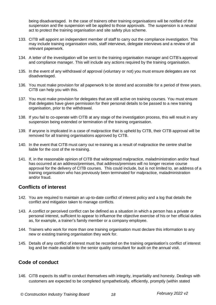being disadvantaged. In the case of trainers other training organisations will be notified of the suspension and the suspension will be applied to those approvals. The suspension is a neutral act to protect the training organisation and site safety plus scheme.

- 133. CITB will appoint an independent member of staff to carry out the compliance investigation. This may include training organisation visits, staff interviews, delegate interviews and a review of all relevant paperwork.
- 134. A letter of the investigation will be sent to the training organisation manager and CITB's approval and compliance manager. This will include any actions required by the training organisation.
- 135. In the event of any withdrawal of approval (voluntary or not) you must ensure delegates are not disadvantaged.
- 136. You must make provision for all paperwork to be stored and accessible for a period of three years. CITB can help you with this.
- 137. You must make provision for delegates that are still active on training courses. You must ensure that delegates have given permission for their personal details to be passed to a new training organisation, prior to the withdrawal.
- 138. If you fail to co-operate with CITB at any stage of the investigation process, this will result in any suspension being extended or termination of the training organisation.
- 139. If anyone is implicated in a case of malpractice that is upheld by CITB, their CITB approval will be removed for all training organisations approved by CITB.
- 140. In the event that CITB must carry out re-training as a result of malpractice the centre shall be liable for the cost of the re-training.
- 141. If, in the reasonable opinion of CITB that widespread malpractice, maladministration and/or fraud has occurred at an address/premises, that address/premises will no longer receive course approval for the delivery of CITB courses. This could include, but is not limited to, an address of a training organisation who has previously been terminated for malpractice, maladministration and/or fraud.

#### <span id="page-17-0"></span>**Conflicts of interest**

- 142. You are required to maintain an up-to-date conflict of interest policy and a log that details the conflict and mitigation taken to manage conflicts.
- 143. A conflict or perceived conflict can be defined as a situation in which a person has a private or personal interest, sufficient to appear to influence the objective exercise of his or her official duties as, for example, a trainer's family member or a company employee.
- 144. Trainers who work for more than one training organisation must declare this information to any new or existing training organisation they work for.
- 145. Details of any conflict of interest must be recorded on the training organisation's conflict of interest log and be made available to the senior quality consultant for audit on the annual visit.

## <span id="page-17-1"></span>**Code of conduct**

146. CITB expects its staff to conduct themselves with integrity, impartiality and honesty. Dealings with customers are expected to be completed sympathetically, efficiently, promptly (within stated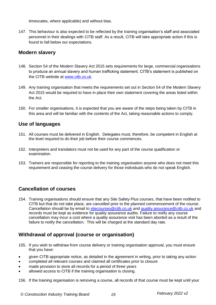timescales, where applicable) and without bias.

147. This behaviour is also expected to be reflected by the training organisation's staff and associated personnel in their dealings with CITB staff. As a result, CITB will take appropriate action if this is found to fall below our expectations.

#### <span id="page-18-0"></span>**Modern slavery**

- 148. Section 54 of the Modern Slavery Act 2015 sets requirements for large, commercial organisations to produce an annual slavery and human trafficking statement. CITB's statement is published on the CITB website at [www.citb.co.uk.](http://www.citb.co.uk/)
- 149. Any training organisation that meets the requirements set out in Section 54 of the Modern Slavery Act 2015 would be required to have in place their own statement covering the areas listed within the Act.
- 150. For smaller organisations, it is expected that you are aware of the steps being taken by CITB in this area and will be familiar with the contents of the Act, taking reasonable actions to comply.

## <span id="page-18-1"></span>**Use of languages**

- 151. All courses must be delivered in English. Delegates must, therefore, be competent in English at the level required to do their job before their course commences.
- 152. Interpreters and translators must not be used for any part of the course qualification or examination.
- 153. Trainers are responsible for reporting to the training organisation anyone who does not meet this requirement and ceasing the course delivery for those individuals who do not speak English.

# <span id="page-18-2"></span>**Cancellation of courses**

154. Training organisations should ensure that any Site Safety Plus courses, that have been notified to CITB but that do not take place, are cancelled prior to the planned commencement of the course. Cancellation should be by email to [sitecourses@citb.co.uk](mailto:sitecourses@citb.co.uk) and [quality.assurance@citb.co.uk](mailto:quality.assurance@citb.co.uk) and records must be kept as evidence for quality assurance audits. Failure to notify any course cancellation may incur a cost where a quality assurance visit has been aborted as a result of the failure to notify the cancellation. This will be charged at the standard day rate.

## <span id="page-18-3"></span>**Withdrawal of approval (course or organisation)**

- 155. If you wish to withdraw from course delivery or training organisation approval, you must ensure that you have:
- given CITB appropriate notice, as detailed in the agreement in writing, prior to taking any action
- completed all relevant courses and claimed all certificates prior to closure
- made provision to store all records for a period of three years
- allowed access to CITB if the training organisation is closing.

156. If the training organisation is removing a course, all records of that course must be kept until your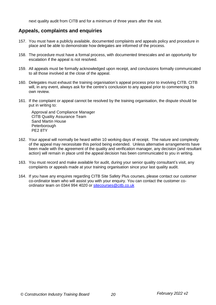next quality audit from CITB and for a minimum of three years after the visit.

#### <span id="page-19-0"></span>**Appeals, complaints and enquiries**

- 157. You must have a publicly available, documented complaints and appeals policy and procedure in place and be able to demonstrate how delegates are informed of the process.
- 158. The procedure must have a formal process, with documented timescales and an opportunity for escalation if the appeal is not resolved.
- 159. All appeals must be formally acknowledged upon receipt, and conclusions formally communicated to all those involved at the close of the appeal.
- 160. Delegates must exhaust the training organisation's appeal process prior to involving CITB. CITB will, in any event, always ask for the centre's conclusion to any appeal prior to commencing its own review.
- 161. If the complaint or appeal cannot be resolved by the training organisation, the dispute should be put in writing to:

Approval and Compliance Manager CITB Quality Assurance Team Sand Martin House **Peterborough** PE2 8TY

- 162. Your appeal will normally be heard within 10 working days of receipt. The nature and complexity of the appeal may necessitate this period being extended. Unless alternative arrangements have been made with the agreement of the quality and verification manager, any decision (and resultant action) will remain in place until the appeal decision has been communicated to you in writing.
- 163. You must record and make available for audit, during your senior quality consultant's visit, any complaints or appeals made at your training organisation since your last quality audit.
- 164. If you have any enquires regarding CITB Site Safety Plus courses, please contact our customer co-ordinator team who will assist you with your enquiry. You can contact the customer coordinator team on 0344 994 4020 or [sitecourses@citb.co.uk](mailto:sitecourses@citb.co.uk)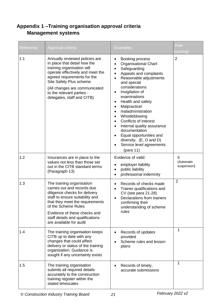# <span id="page-20-1"></span><span id="page-20-0"></span>**Appendix 1 –Training organisation approval criteria Management systems**

| Reference | Approval criteria                                                                                                                                                                                                                                                                      | <b>Examples</b>                                                                                                                                                                                                                                                                                                                                                                                                                                                                              | <b>Risk</b><br>scoring)        |
|-----------|----------------------------------------------------------------------------------------------------------------------------------------------------------------------------------------------------------------------------------------------------------------------------------------|----------------------------------------------------------------------------------------------------------------------------------------------------------------------------------------------------------------------------------------------------------------------------------------------------------------------------------------------------------------------------------------------------------------------------------------------------------------------------------------------|--------------------------------|
| 1.1       | Annually reviewed policies are<br>in place that detail how the<br>training organisation will<br>operate effectively and meet the<br>agreed requirements for the<br>Site Safety Plus scheme<br>(All changes are communicated<br>to the relevant parties -<br>delegates, staff and CITB) | Booking process<br><b>Organisational Chart</b><br>Safeguarding<br>٠<br>Appeals and complaints<br>Reasonable adjustments<br>and special<br>considerations<br>Invigilation of<br>examinations<br>Health and safety<br>Malpractice/<br>$\bullet$<br>maladministration<br>Whistleblowing<br>$\bullet$<br><b>Conflicts of interest</b><br>$\bullet$<br>Internal quality assurance<br>documentation<br>Equal opportunities and<br>diversity. (E, O and D)<br>Service level agreements<br>(para 11) | $\overline{2}$                 |
| 1.2       | Insurances are in place to the<br>values not less than those set<br>out in the CITB standard terms<br>(Paragraph 13)                                                                                                                                                                   | Evidence of valid:<br>employer liability<br>public liability<br>professional indemnity                                                                                                                                                                                                                                                                                                                                                                                                       | 5<br>(Automatic<br>suspension) |
| 1.3       | The training organisation<br>carries out and records due<br>diligence checks for delivery<br>staff to ensure suitability and<br>that they meet the requirements<br>of the Scheme Rules<br>Evidence of these checks and<br>staff details and qualifications<br>are available for audit  | Records of checks made<br>Trainer qualifications and<br>CV (see para 21-28)<br>Declarations from trainers<br>confirming their<br>understanding of scheme<br>rules                                                                                                                                                                                                                                                                                                                            | $\overline{2}$                 |
| 1.4       | The training organisation keeps<br>CITB up to date with any<br>changes that could affect<br>delivery or status of the training<br>organisation. Guidance is<br>sought if any uncertainty exists                                                                                        | Records of updates<br>provided<br>Scheme rules and lesson<br>plans                                                                                                                                                                                                                                                                                                                                                                                                                           | 1                              |
| 1.5       | The training organisation<br>submits all required details<br>accurately to the construction<br>training register within the<br>stated timescales                                                                                                                                       | Records of timely,<br>accurate submissions                                                                                                                                                                                                                                                                                                                                                                                                                                                   | 1                              |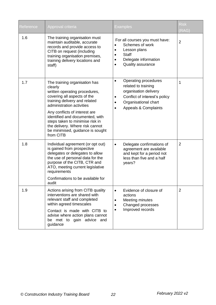| Reference | Approval criteria                                                                                                                                                                                                                                                                                                                                                 | <b>Examples</b>                                                                                                                                                                      | <b>Risk</b><br>(RAG) |
|-----------|-------------------------------------------------------------------------------------------------------------------------------------------------------------------------------------------------------------------------------------------------------------------------------------------------------------------------------------------------------------------|--------------------------------------------------------------------------------------------------------------------------------------------------------------------------------------|----------------------|
| 1.6       | The training organisation must<br>maintain auditable, accurate<br>records and provide access to<br>CITB on request (including<br>training organisation premises,<br>training delivery locations and<br>staff)                                                                                                                                                     | For all courses you must have:<br>Schemes of work<br>Lesson plans<br>Staff<br>Delegate information<br>Quality assurance<br>$\bullet$                                                 | $\overline{2}$       |
| 1.7       | The training organisation has<br>clearly<br>written operating procedures,<br>covering all aspects of the<br>training delivery and related<br>administration activities<br>Any conflicts of interest are<br>identified and documented, with<br>steps taken to minimise risk in<br>the delivery. Where risk cannot<br>be minimised, guidance is sought<br>from CITB | Operating procedures<br>$\bullet$<br>related to training<br>organisation delivery<br>Conflict of interest's policy<br>٠<br>Organisational chart<br>Appeals & Complaints<br>$\bullet$ | 1                    |
| 1.8       | Individual agreement (or opt out)<br>is gained from prospective<br>delegates or delegates to allow<br>the use of personal data for the<br>purpose of the CITB, CTR and<br>ATO, meeting current legislative<br>requirements<br>Confirmations to be available for<br>audit                                                                                          | Delegate confirmations of<br>$\bullet$<br>agreement are available<br>and kept for a period not<br>less than five and a half<br>years?                                                | 2                    |
| 1.9       | Actions arising from CITB quality<br>interventions are shared with<br>relevant staff and completed<br>within agreed timescales<br>Contact is made with CITB to<br>advise where action plans cannot<br>be met to gain advice and<br>guidance                                                                                                                       | Evidence of closure of<br>$\bullet$<br>actions<br>Meeting minutes<br>$\bullet$<br>Changed processes<br>Improved records                                                              | $\overline{2}$       |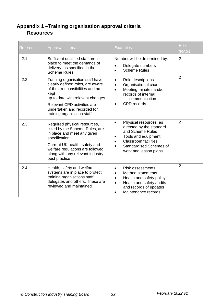# <span id="page-22-1"></span><span id="page-22-0"></span>**Appendix 1 –Training organisation approval criteria Resources**

| Reference | Approval criteria                                                                                                                                                                                                                                  | Examples                                                                                                                                                                                                          | <b>Risk</b><br>(RAG) |
|-----------|----------------------------------------------------------------------------------------------------------------------------------------------------------------------------------------------------------------------------------------------------|-------------------------------------------------------------------------------------------------------------------------------------------------------------------------------------------------------------------|----------------------|
| 2.1       | Sufficient qualified staff are in<br>place to meet the demands of<br>delivery, as specified in the<br><b>Scheme Rules</b>                                                                                                                          | Number will be determined by:<br>Delegate numbers<br><b>Scheme Rules</b>                                                                                                                                          | 2                    |
| 2.2       | Training organisation staff have<br>clearly defined roles, are aware<br>of their responsibilities and are<br>kept<br>up to date with relevant changes<br>Relevant CPD activities are<br>undertaken and recorded for<br>training organisation staff | Role descriptions<br>$\bullet$<br>Organisational chart<br>$\bullet$<br>Meeting minutes and/or<br>$\bullet$<br>records of internal<br>communication<br>CPD records                                                 | $\overline{2}$       |
| 2.3       | Required physical resources,<br>listed by the Scheme Rules, are<br>in place and meet any given<br>specification<br>Current UK health, safety and<br>welfare regulations are followed,<br>along with any relevant industry<br>best practice         | Physical resources, as<br>$\bullet$<br>directed by the standard<br>and Scheme Rules<br>Tools and equipment<br><b>Classroom facilities</b><br><b>Standardised Schemes of</b><br>$\bullet$<br>work and lesson plans | $\overline{2}$       |
| 2.4       | Health, safety and welfare<br>systems are in place to protect<br>training organisations staff,<br>delegates and others. These are<br>reviewed and maintained                                                                                       | <b>Risk assessments</b><br>Method statements<br>$\bullet$<br>Health and safety policy<br>$\bullet$<br>Health and safety audits<br>$\bullet$<br>and records of updates<br>Maintenance records                      | $\overline{2}$       |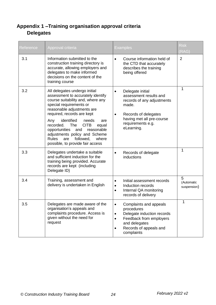# <span id="page-23-1"></span><span id="page-23-0"></span>**Appendix 1 –Training organisation approval criteria Delegates**

| Reference | Approval criteria                                                                                                                                                                                                                                                                                                                                                                                                                 | <b>Examples</b>                                                                                                                                                                            | <b>Risk</b><br>(RAG)           |
|-----------|-----------------------------------------------------------------------------------------------------------------------------------------------------------------------------------------------------------------------------------------------------------------------------------------------------------------------------------------------------------------------------------------------------------------------------------|--------------------------------------------------------------------------------------------------------------------------------------------------------------------------------------------|--------------------------------|
| 3.1       | Information submitted to the<br>construction training directory is<br>accurate, allowing employers and<br>delegates to make informed<br>decisions on the content of the<br>training course                                                                                                                                                                                                                                        | Course information held of<br>$\bullet$<br>the CTD that accurately<br>describes the training<br>being offered                                                                              | $\overline{2}$                 |
| 3.2       | All delegates undergo initial<br>assessment to accurately identify<br>course suitability and, where any<br>special requirements or<br>reasonable adjustments are<br>required, records are kept<br>identified<br>Any<br>needs<br>are<br><b>CITB</b><br>recorded. The<br>equal<br>reasonable<br>opportunities and<br>adjustments policy and Scheme<br><b>Rules</b><br>followed,<br>are<br>where<br>possible, to provide fair access | Delegate initial<br>$\bullet$<br>assessment results and<br>records of any adjustments<br>made.<br>Records of delegates<br>having met all pre-course<br>requirements e.g.<br>eLearning.     | 1                              |
| 3.3       | Delegates undertake a suitable<br>and sufficient induction for the<br>training being provided. Accurate<br>records are kept (including<br>Delegate ID)                                                                                                                                                                                                                                                                            | Records of delegate<br>$\bullet$<br>inductions                                                                                                                                             | 1                              |
| 3.4       | Training, assessment and<br>delivery is undertaken in English                                                                                                                                                                                                                                                                                                                                                                     | Initial assessment records<br>٠<br>Induction records<br>$\bullet$<br>Internal QA monitoring<br>$\bullet$<br>records of delivery                                                            | 5<br>(Automatic<br>suspension) |
| 3.5       | Delegates are made aware of the<br>organisation's appeals and<br>complaints procedure. Access is<br>given without the need for<br>request                                                                                                                                                                                                                                                                                         | Complaints and appeals<br>٠<br>procedures<br>Delegate induction records<br>$\bullet$<br>Feedback from employers<br>٠<br>and delegates<br>Records of appeals and<br>$\bullet$<br>complaints | 1                              |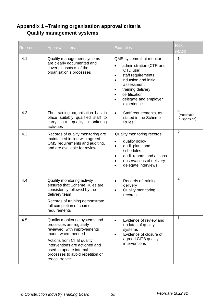# <span id="page-24-1"></span><span id="page-24-0"></span>**Appendix 1 –Training organisation approval criteria Quality management systems**

| Reference | Approval criteria                                                                                                                                                                                                                                            | <b>Examples</b>                                                                                                                                                                                                              | <b>Risk</b><br>(RAG)           |
|-----------|--------------------------------------------------------------------------------------------------------------------------------------------------------------------------------------------------------------------------------------------------------------|------------------------------------------------------------------------------------------------------------------------------------------------------------------------------------------------------------------------------|--------------------------------|
| 4.1       | Quality management systems<br>are clearly documented and<br>cover all aspects of the<br>organisation's processes                                                                                                                                             | QMS systems that monitor:<br>administration (CTR and<br>CTD use)<br>staff requirements<br>induction and initial<br>assessment<br>training delivery<br>٠<br>certification<br>$\bullet$<br>delegate and employer<br>experience | 1                              |
| 4.2       | The training organisation has in<br>place suitably qualified staff to<br>carry out<br>quality<br>monitoring<br>activities                                                                                                                                    | Staff requirements, as<br>$\bullet$<br>stated in the Scheme<br><b>Rules</b>                                                                                                                                                  | 5<br>(Automatic<br>suspension) |
| 4.3       | Records of quality monitoring are<br>maintained in line with agreed<br>QMS requirements and auditing,<br>and are available for review                                                                                                                        | Quality monitoring records;<br>quality policy<br>audit plans and<br>٠<br>schedules<br>audit reports and actions<br>observations of delivery<br>delegate interviews                                                           | $\overline{2}$                 |
| 4.4       | Quality monitoring activity<br>ensures that Scheme Rules are<br>consistently followed by the<br>delivery team<br>Records of training demonstrate<br>full completion of course<br>requirements                                                                | Records of training<br>$\bullet$<br>delivery<br><b>Quality monitoring</b><br>$\bullet$<br>records                                                                                                                            | $\overline{2}$                 |
| 4.5       | Quality monitoring systems and<br>processes are regularly<br>reviewed, with improvements<br>made, where needed<br>Actions from CITB quality<br>interventions are actioned and<br>used to update internal<br>processes to avoid repetition or<br>reoccurrence | Evidence of review and<br>$\bullet$<br>updates of quality<br>systems<br>Evidence of closure of<br>agreed CITB quality<br>interventions                                                                                       | 1                              |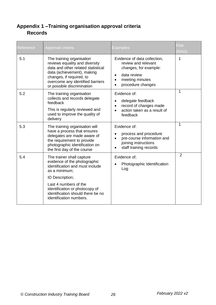# <span id="page-25-1"></span><span id="page-25-0"></span>**Appendix 1 –Training organisation approval criteria Records**

| Reference | Approval criteria                                                                                                                                                                                                                                           | <b>Examples</b>                                                                                                                                               | <b>Risk</b><br>(RAG) |
|-----------|-------------------------------------------------------------------------------------------------------------------------------------------------------------------------------------------------------------------------------------------------------------|---------------------------------------------------------------------------------------------------------------------------------------------------------------|----------------------|
| 5.1       | The training organisation<br>reviews equality and diversity<br>data and other related statistical<br>data (achievement), making<br>changes, if required, to<br>overcome any identified barriers<br>or possible discrimination                               | Evidence of data collection,<br>review and relevant<br>changes, for example:<br>data review<br>$\bullet$<br>meeting minutes<br>$\bullet$<br>procedure changes | 1                    |
| 5.2       | The training organisation<br>collects and records delegate<br>feedback<br>This is regularly reviewed and<br>used to improve the quality of<br>delivery                                                                                                      | Evidence of:<br>delegate feedback<br>record of changes made<br>$\bullet$<br>action taken as a result of<br>feedback                                           | $\mathbf 1$          |
| 5.3       | The training organisation will<br>have a process that ensures<br>delegates are made aware of<br>the requirement to provide<br>photographic identification on<br>the first day of the course                                                                 | Evidence of:<br>process and procedure<br>pre-course information and<br>joining instructions<br>staff training records                                         | 1                    |
| 5.4       | The trainer shall capture<br>evidence of the photographic<br>identification and must include<br>as a minimum;<br>ID Description;<br>Last 4 numbers of the<br>identification or photocopy of<br>identification should there be no<br>identification numbers. | Evidence of:<br>Photographic Identification<br>Log                                                                                                            | 2                    |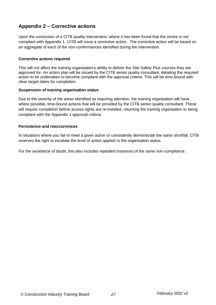## <span id="page-26-0"></span>**Appendix 2 – Corrective actions**

Upon the conclusion of a CITB quality intervention, where it has been found that the centre is not compliant with Appendix 1, CITB will issue a corrective action. The corrective action will be based on an aggregate of each of the non-conformances identified during the intervention.

#### **Corrective actions required**

This will not affect the training organisation's ability to deliver the Site Safety Plus courses they are approved for. An action plan will be issued by the CITB senior quality consultant, detailing the required action to be undertaken to become compliant with the approval criteria. This will be time-bound with clear target dates for completion.

#### **Suspension of training organisation status**

Due to the severity of the areas identified as requiring attention, the training organisation will have, where possible, time-bound actions that will be provided by the CITB senior quality consultant. These will require completion before access rights are re-instated, returning the training organisation to being compliant with the Appendix 1 approval criteria.

#### **Persistence and reoccurrences**

In situations where you fail to meet a given action or consistently demonstrate the same shortfall, CITB reserves the right to escalate the level of action applied to the organisation status.

For the avoidance of doubt, this also includes repeated instances of the same non-compliance.